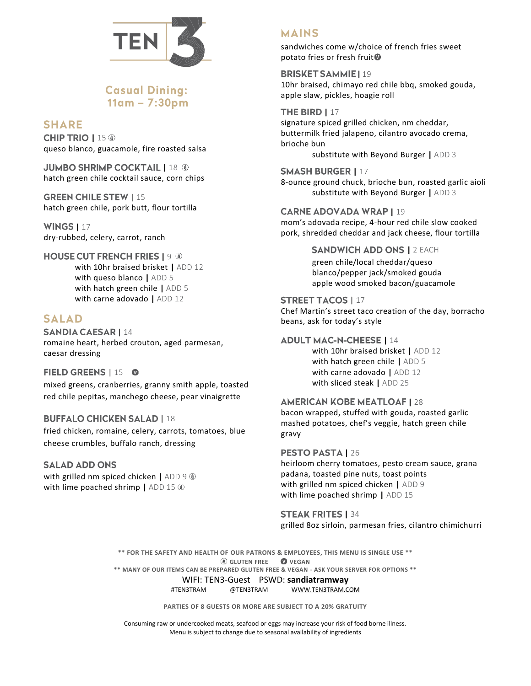

# **Casual Dining:**  $11am - 7:30pm$

## **SHARE**

**CHIP TRIO | 15 ®** queso blanco, guacamole, fire roasted salsa

**JUMBO SHRIMP COCKTAIL | 18 ®** hatch green chile cocktail sauce, corn chips

**GREEN CHILE STEW | 15** hatch green chile, pork butt, flour tortilla

**WINGS | 17** dry-rubbed, celery, carrot, ranch

### **HOUSE CUT FRENCH FRIES | 9 8**

with 10hr braised brisket **|** ADD 12 with queso blanco **|** ADD 5 with hatch green chile **|** ADD 5 with carne adovado **|** ADD 12

## **SALAD**

**SANDIA CAESAR | 14** romaine heart, herbed crouton, aged parmesan, caesar dressing

### **FIELD GREENS | 15 0**

mixed greens, cranberries, granny smith apple, toasted red chile pepitas, manchego cheese, pear vinaigrette

### **BUFFALO CHICKEN SALAD | 18**

fried chicken, romaine, celery, carrots, tomatoes, blue cheese crumbles, buffalo ranch, dressing

### **SALAD ADD ONS**

with grilled nm spiced chicken **|** ADD 9 with lime poached shrimp | ADD 15  $\circledast$ 

## **MAINS**

sandwiches come w/choice of french fries sweet potato fries or fresh fruit<sup>®</sup>

**BRISKET SAMMIE | 19** 10hr braised, chimayo red chile bbq, smoked gouda, apple slaw, pickles, hoagie roll

#### **THE BIRD | 17** signature spiced grilled chicken, nm cheddar, buttermilk fried jalapeno, cilantro avocado crema, brioche bun substitute with Beyond Burger **|** ADD 3

**SMASH BURGER | 17** 8-ounce ground chuck, brioche bun, roasted garlic aioli

substitute with Beyond Burger **|** ADD 3

#### **CARNE ADOVADA WRAP | 19**

mom's adovada recipe, 4-hour red chile slow cooked pork, shredded cheddar and jack cheese, flour tortilla

> **SANDWICH ADD ONS | 2 EACH** green chile/local cheddar/queso blanco/pepper jack/smoked gouda apple wood smoked bacon/guacamole

### **STREET TACOS | 17**

Chef Martin's street taco creation of the day, borracho beans, ask for today's style

#### **ADULT MAC-N-CHEESE | 14**

with 10hr braised brisket **|** ADD 12 with hatch green chile **|** ADD 5 with carne adovado **|** ADD 12 with sliced steak **|** ADD 25

### **AMERICAN KOBE MEATLOAF | 28**

bacon wrapped, stuffed with gouda, roasted garlic mashed potatoes, chef's veggie, hatch green chile gravy

#### **PESTO PASTA | 26**

heirloom cherry tomatoes, pesto cream sauce, grana padana, toasted pine nuts, toast points with grilled nm spiced chicken **|** ADD 9 with lime poached shrimp **|** ADD 15

**STEAK FRITES | 34** grilled 8oz sirloin, parmesan fries, cilantro chimichurri

**\*\* FOR THE SAFETY AND HEALTH OF OUR PATRONS & EMPLOYEES, THIS MENU IS SINGLE USE \*\* GLUTEN FREE VEGAN**

**\*\* MANY OF OUR ITEMS CAN BE PREPARED GLUTEN FREE & VEGAN - ASK YOUR SERVER FOR OPTIONS \*\***

WIFI: TEN3-Guest PSWD: **sandiatramway**

#TEN3TRAM @TEN3TRAM [WWW.TEN3TRAM.COM](http://www.ten3tram.com/)

**PARTIES OF 8 GUESTS OR MORE ARE SUBJECT TO A 20% GRATUITY**

Consuming raw or undercooked meats, seafood or eggs may increase your risk of food borne illness. Menu is subject to change due to seasonal availability of ingredients